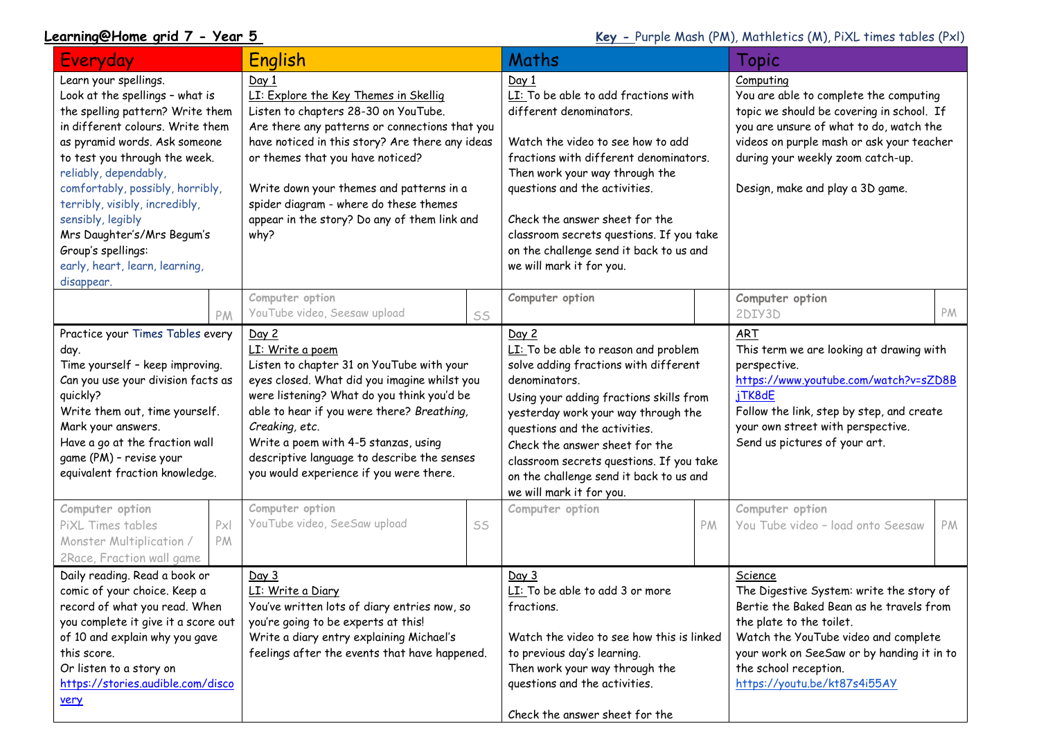**Learning@Home grid 7 - Year 5 Key - Purple Mash (PM), Mathletics (M), PiXL times tables (PxI)** 

| Everyday                                                                                                                                                                                                                                                                                                                                                                                                                   |          | English                                                                                                                                                                                                                                                                                                                                                                       |    | Maths                                                                                                                                                                                                                                                                                                                                                                           |    | Topic                                                                                                                                                                                                                                                                      |    |
|----------------------------------------------------------------------------------------------------------------------------------------------------------------------------------------------------------------------------------------------------------------------------------------------------------------------------------------------------------------------------------------------------------------------------|----------|-------------------------------------------------------------------------------------------------------------------------------------------------------------------------------------------------------------------------------------------------------------------------------------------------------------------------------------------------------------------------------|----|---------------------------------------------------------------------------------------------------------------------------------------------------------------------------------------------------------------------------------------------------------------------------------------------------------------------------------------------------------------------------------|----|----------------------------------------------------------------------------------------------------------------------------------------------------------------------------------------------------------------------------------------------------------------------------|----|
| Learn your spellings.<br>Look at the spellings - what is<br>the spelling pattern? Write them<br>in different colours. Write them<br>as pyramid words. Ask someone<br>to test you through the week.<br>reliably, dependably,<br>comfortably, possibly, horribly,<br>terribly, visibly, incredibly,<br>sensibly, legibly<br>Mrs Daughter's/Mrs Begum's<br>Group's spellings:<br>early, heart, learn, learning,<br>disappear. |          | Day 1<br>LI: Explore the Key Themes in Skellig<br>Listen to chapters 28-30 on YouTube.<br>Are there any patterns or connections that you<br>have noticed in this story? Are there any ideas<br>or themes that you have noticed?<br>Write down your themes and patterns in a<br>spider diagram - where do these themes<br>appear in the story? Do any of them link and<br>why? |    | Day 1<br>LI: To be able to add fractions with<br>different denominators.<br>Watch the video to see how to add<br>fractions with different denominators.<br>Then work your way through the<br>questions and the activities.<br>Check the answer sheet for the<br>classroom secrets questions. If you take<br>on the challenge send it back to us and<br>we will mark it for you. |    | Computing<br>You are able to complete the computing<br>topic we should be covering in school. If<br>you are unsure of what to do, watch the<br>videos on purple mash or ask your teacher<br>during your weekly zoom catch-up.<br>Design, make and play a 3D game.          |    |
|                                                                                                                                                                                                                                                                                                                                                                                                                            | PM       | Computer option<br>YouTube video, Seesaw upload                                                                                                                                                                                                                                                                                                                               | SS | Computer option                                                                                                                                                                                                                                                                                                                                                                 |    | Computer option<br>2DIY3D                                                                                                                                                                                                                                                  | PM |
| Practice your Times Tables every<br>day.<br>Time yourself - keep improving.<br>Can you use your division facts as<br>quickly?<br>Write them out, time yourself.<br>Mark your answers.<br>Have a go at the fraction wall<br>game (PM) - revise your<br>equivalent fraction knowledge.                                                                                                                                       |          | Day 2<br>LI: Write a poem<br>Listen to chapter 31 on YouTube with your<br>eyes closed. What did you imagine whilst you<br>were listening? What do you think you'd be<br>able to hear if you were there? Breathing,<br>Creaking, etc.<br>Write a poem with 4-5 stanzas, using<br>descriptive language to describe the senses<br>you would experience if you were there.        |    | Day 2<br>LI: To be able to reason and problem<br>solve adding fractions with different<br>denominators.<br>Using your adding fractions skills from<br>yesterday work your way through the<br>questions and the activities.<br>Check the answer sheet for the<br>classroom secrets questions. If you take<br>on the challenge send it back to us and<br>we will mark it for you. |    | <b>ART</b><br>This term we are looking at drawing with<br>perspective.<br>https://www.youtube.com/watch?v=sZD8B<br>jTK8dE<br>Follow the link, step by step, and create<br>your own street with perspective.<br>Send us pictures of your art.                               |    |
| Computer option<br>PiXL Times tables<br>Monster Multiplication /<br>2Race, Fraction wall game                                                                                                                                                                                                                                                                                                                              | Px<br>PM | Computer option<br>YouTube video, SeeSaw upload                                                                                                                                                                                                                                                                                                                               | SS | Computer option                                                                                                                                                                                                                                                                                                                                                                 | PM | Computer option<br>You Tube video - load onto Seesaw                                                                                                                                                                                                                       | PM |
| Daily reading. Read a book or<br>comic of your choice. Keep a<br>record of what you read. When<br>you complete it give it a score out<br>of 10 and explain why you gave<br>this score.<br>Or listen to a story on<br>https://stories.audible.com/disco<br>very                                                                                                                                                             |          | Day 3<br>LI: Write a Diary<br>You've written lots of diary entries now, so<br>you're going to be experts at this!<br>Write a diary entry explaining Michael's<br>feelings after the events that have happened.                                                                                                                                                                |    | Day 3<br>LI: To be able to add 3 or more<br>fractions.<br>Watch the video to see how this is linked<br>to previous day's learning.<br>Then work your way through the<br>questions and the activities.<br>Check the answer sheet for the                                                                                                                                         |    | Science<br>The Digestive System: write the story of<br>Bertie the Baked Bean as he travels from<br>the plate to the toilet.<br>Watch the YouTube video and complete<br>your work on SeeSaw or by handing it in to<br>the school reception.<br>https://youtu.be/kt87s4i55AY |    |